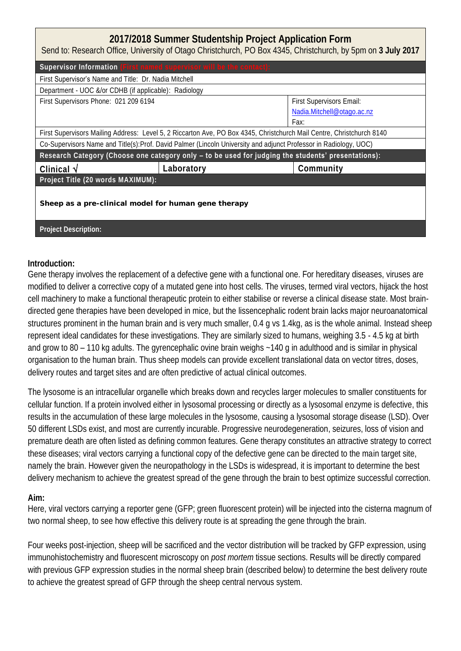## **2017/2018 Summer Studentship Project Application Form**

Send to: Research Office, University of Otago Christchurch, PO Box 4345, Christchurch, by 5pm on **3 July 2017**

| Supervisor Information (First named supervisor will be the contact):                                                  |            |                            |  |  |  |
|-----------------------------------------------------------------------------------------------------------------------|------------|----------------------------|--|--|--|
| First Supervisor's Name and Title: Dr. Nadia Mitchell                                                                 |            |                            |  |  |  |
| Department - UOC &/or CDHB (if applicable): Radiology                                                                 |            |                            |  |  |  |
| First Supervisors Phone: 021 209 6194                                                                                 |            | First Supervisors Email:   |  |  |  |
|                                                                                                                       |            | Nadia.Mitchell@otago.ac.nz |  |  |  |
|                                                                                                                       |            | Fax:                       |  |  |  |
| First Supervisors Mailing Address: Level 5, 2 Riccarton Ave, PO Box 4345, Christchurch Mail Centre, Christchurch 8140 |            |                            |  |  |  |
| Co-Supervisors Name and Title(s): Prof. David Palmer (Lincoln University and adjunct Professor in Radiology, UOC)     |            |                            |  |  |  |
| Research Category (Choose one category only - to be used for judging the students' presentations):                    |            |                            |  |  |  |
| Clinical $\sqrt$                                                                                                      | Laboratory | Community                  |  |  |  |
| Project Title (20 words MAXIMUM):                                                                                     |            |                            |  |  |  |
|                                                                                                                       |            |                            |  |  |  |
| Sheep as a pre-clinical model for human gene therapy                                                                  |            |                            |  |  |  |
|                                                                                                                       |            |                            |  |  |  |
| Project Description:                                                                                                  |            |                            |  |  |  |

**Introduction:**

Gene therapy involves the replacement of a defective gene with a functional one. For hereditary diseases, viruses are modified to deliver a corrective copy of a mutated gene into host cells. The viruses, termed viral vectors, hijack the host cell machinery to make a functional therapeutic protein to either stabilise or reverse a clinical disease state. Most braindirected gene therapies have been developed in mice, but the lissencephalic rodent brain lacks major neuroanatomical structures prominent in the human brain and is very much smaller, 0.4 g vs 1.4kg, as is the whole animal. Instead sheep represent ideal candidates for these investigations. They are similarly sized to humans, weighing 3.5 - 4.5 kg at birth and grow to 80 – 110 kg adults. The gyrencephalic ovine brain weighs ~140 g in adulthood and is similar in physical organisation to the human brain. Thus sheep models can provide excellent translational data on vector titres, doses, delivery routes and target sites and are often predictive of actual clinical outcomes.

The lysosome is an intracellular organelle which breaks down and recycles larger molecules to smaller constituents for cellular function. If a protein involved either in lysosomal processing or directly as a lysosomal enzyme is defective, this results in the accumulation of these large molecules in the lysosome, causing a lysosomal storage disease (LSD). Over 50 different LSDs exist, and most are currently incurable. Progressive neurodegeneration, seizures, loss of vision and premature death are often listed as defining common features. Gene therapy constitutes an attractive strategy to correct these diseases; viral vectors carrying a functional copy of the defective gene can be directed to the main target site, namely the brain. However given the neuropathology in the LSDs is widespread, it is important to determine the best delivery mechanism to achieve the greatest spread of the gene through the brain to best optimize successful correction.

## **Aim:**

Here, viral vectors carrying a reporter gene (GFP; green fluorescent protein) will be injected into the cisterna magnum of two normal sheep, to see how effective this delivery route is at spreading the gene through the brain.

Four weeks post-injection, sheep will be sacrificed and the vector distribution will be tracked by GFP expression, using immunohistochemistry and fluorescent microscopy on *post mortem* tissue sections. Results will be directly compared with previous GFP expression studies in the normal sheep brain (described below) to determine the best delivery route to achieve the greatest spread of GFP through the sheep central nervous system.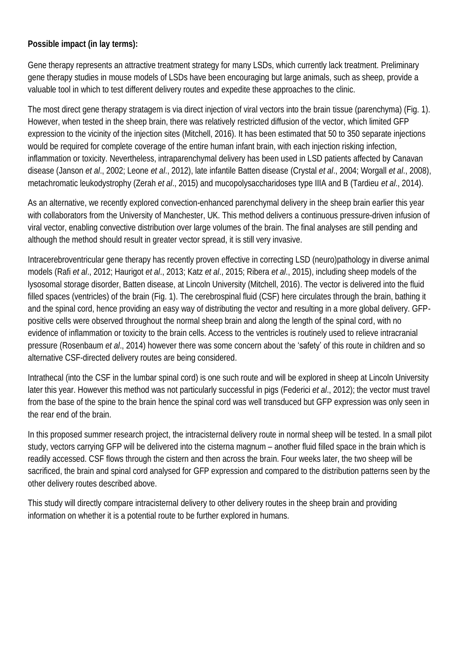**Possible impact (in lay terms):** 

Gene therapy represents an attractive treatment strategy for many LSDs, which currently lack treatment. Preliminary gene therapy studies in mouse models of LSDs have been encouraging but large animals, such as sheep, provide a valuable tool in which to test different delivery routes and expedite these approaches to the clinic.

The most direct gene therapy stratagem is via direct injection of viral vectors into the brain tissue (parenchyma) (Fig. 1). However, when tested in the sheep brain, there was relatively restricted diffusion of the vector, which limited GFP expression to the vicinity of the injection sites (Mitchell, 2016). It has been estimated that 50 to 350 separate injections would be required for complete coverage of the entire human infant brain, with each injection risking infection, inflammation or toxicity. Nevertheless, intraparenchymal delivery has been used in LSD patients affected by Canavan disease (Janson *et al*., 2002; Leone *et al*., 2012), late infantile Batten disease (Crystal *et al*., 2004; Worgall *et al*., 2008), metachromatic leukodystrophy (Zerah *et al*., 2015) and mucopolysaccharidoses type IIIA and B (Tardieu *et al*., 2014).

As an alternative, we recently explored convection-enhanced parenchymal delivery in the sheep brain earlier this year with collaborators from the University of Manchester, UK. This method delivers a continuous pressure-driven infusion of viral vector, enabling convective distribution over large volumes of the brain. The final analyses are still pending and although the method should result in greater vector spread, it is still very invasive.

Intracerebroventricular gene therapy has recently proven effective in correcting LSD (neuro)pathology in diverse animal models (Rafi *et al*., 2012; Haurigot *et al*., 2013; Katz *et al*., 2015; Ribera *et al*., 2015), including sheep models of the lysosomal storage disorder, Batten disease, at Lincoln University (Mitchell, 2016). The vector is delivered into the fluid filled spaces (ventricles) of the brain (Fig. 1). The cerebrospinal fluid (CSF) here circulates through the brain, bathing it and the spinal cord, hence providing an easy way of distributing the vector and resulting in a more global delivery. GFPpositive cells were observed throughout the normal sheep brain and along the length of the spinal cord, with no evidence of inflammation or toxicity to the brain cells. Access to the ventricles is routinely used to relieve intracranial pressure (Rosenbaum *et al*., 2014) however there was some concern about the 'safety' of this route in children and so alternative CSF-directed delivery routes are being considered.

Intrathecal (into the CSF in the lumbar spinal cord) is one such route and will be explored in sheep at Lincoln University later this year. However this method was not particularly successful in pigs (Federici *et al*., 2012); the vector must travel from the base of the spine to the brain hence the spinal cord was well transduced but GFP expression was only seen in the rear end of the brain.

In this proposed summer research project, the intracisternal delivery route in normal sheep will be tested. In a small pilot study, vectors carrying GFP will be delivered into the cisterna magnum – another fluid filled space in the brain which is readily accessed. CSF flows through the cistern and then across the brain. Four weeks later, the two sheep will be sacrificed, the brain and spinal cord analysed for GFP expression and compared to the distribution patterns seen by the other delivery routes described above.

This study will directly compare intracisternal delivery to other delivery routes in the sheep brain and providing information on whether it is a potential route to be further explored in humans.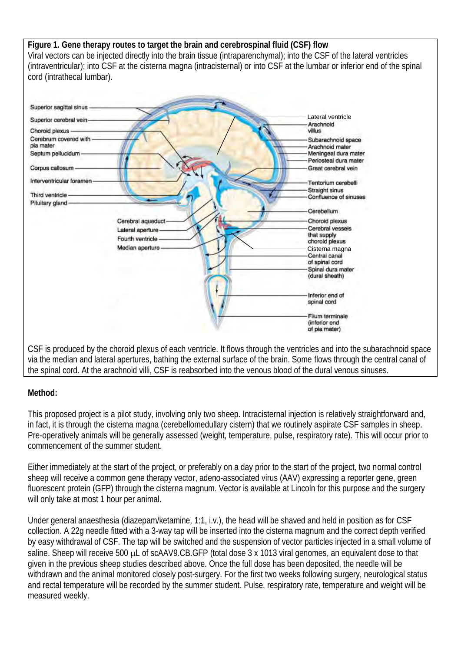**Figure 1. Gene therapy routes to target the brain and cerebrospinal fluid (CSF) flow**  Viral vectors can be injected directly into the brain tissue (intraparenchymal); into the CSF of the lateral ventricles (intraventricular); into CSF at the cisterna magna (intracisternal) or into CSF at the lumbar or inferior end of the spinal cord (intrathecal lumbar).



CSF is produced by the choroid plexus of each ventricle. It flows through the ventricles and into the subarachnoid space via the median and lateral apertures, bathing the external surface of the brain. Some flows through the central canal of the spinal cord. At the arachnoid villi, CSF is reabsorbed into the venous blood of the dural venous sinuses.

## **Method:**

This proposed project is a pilot study, involving only two sheep. Intracisternal injection is relatively straightforward and, in fact, it is through the cisterna magna (cerebellomedullary cistern) that we routinely aspirate CSF samples in sheep. Pre-operatively animals will be generally assessed (weight, temperature, pulse, respiratory rate). This will occur prior to commencement of the summer student.

Either immediately at the start of the project, or preferably on a day prior to the start of the project, two normal control sheep will receive a common gene therapy vector, adeno-associated virus (AAV) expressing a reporter gene, green fluorescent protein (GFP) through the cisterna magnum. Vector is available at Lincoln for this purpose and the surgery will only take at most 1 hour per animal.

Under general anaesthesia (diazepam/ketamine, 1:1, i.v.), the head will be shaved and held in position as for CSF collection. A 22g needle fitted with a 3-way tap will be inserted into the cisterna magnum and the correct depth verified by easy withdrawal of CSF. The tap will be switched and the suspension of vector particles injected in a small volume of saline. Sheep will receive 500  $\mu$ L of scAAV9.CB.GFP (total dose 3 x 1013 viral genomes, an equivalent dose to that given in the previous sheep studies described above. Once the full dose has been deposited, the needle will be withdrawn and the animal monitored closely post-surgery. For the first two weeks following surgery, neurological status and rectal temperature will be recorded by the summer student. Pulse, respiratory rate, temperature and weight will be measured weekly.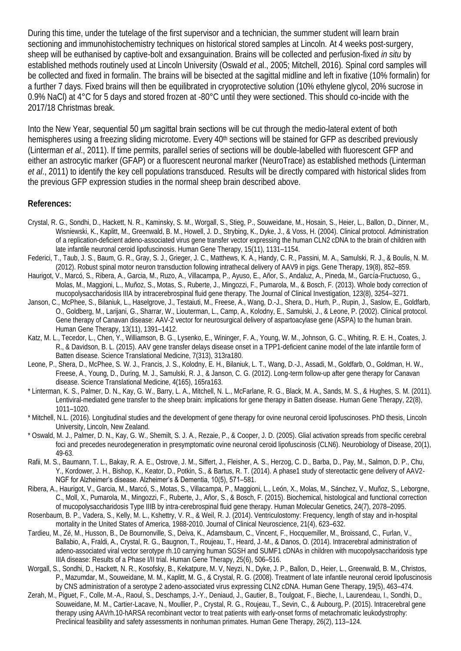During this time, under the tutelage of the first supervisor and a technician, the summer student will learn brain sectioning and immunohistochemistry techniques on historical stored samples at Lincoln. At 4 weeks post-surgery, sheep will be euthanised by captive-bolt and exsanguination. Brains will be collected and perfusion-fixed *in situ* by established methods routinely used at Lincoln University (Oswald *et a*l., 2005; Mitchell, 2016)*.* Spinal cord samples will be collected and fixed in formalin. The brains will be bisected at the sagittal midline and left in fixative (10% formalin) for a further 7 days. Fixed brains will then be equilibrated in cryoprotective solution (10% ethylene glycol, 20% sucrose in 0.9% NaCl) at 4°C for 5 days and stored frozen at -80°C until they were sectioned. This should co-incide with the 2017/18 Christmas break.

Into the New Year, sequential 50 um sagittal brain sections will be cut through the medio-lateral extent of both hemispheres using a freezing sliding microtome. Every 40<sup>th</sup> sections will be stained for GFP as described previously (Linterman *et al*., 2011). If time permits, parallel series of sections will be double-labelled with fluorescent GFP and either an astrocytic marker (GFAP) or a fluorescent neuronal marker (NeuroTrace) as established methods (Linterman *et al*., 2011) to identify the key cell populations transduced. Results will be directly compared with historical slides from the previous GFP expression studies in the normal sheep brain described above.

## **References:**

- Crystal, R. G., Sondhi, D., Hackett, N. R., Kaminsky, S. M., Worgall, S., Stieg, P., Souweidane, M., Hosain, S., Heier, L., Ballon, D., Dinner, M., Wisniewski, K., Kaplitt, M., Greenwald, B. M., Howell, J. D., Strybing, K., Dyke, J., & Voss, H. (2004). Clinical protocol. Administration of a replication-deficient adeno-associated virus gene transfer vector expressing the human CLN2 cDNA to the brain of children with late infantile neuronal ceroid lipofuscinosis. Human Gene Therapy, 15(11), 1131–1154.
- Federici, T., Taub, J. S., Baum, G. R., Gray, S. J., Grieger, J. C., Matthews, K. A., Handy, C. R., Passini, M. A., Samulski, R. J., & Boulis, N. M. (2012). Robust spinal motor neuron transduction following intrathecal delivery of AAV9 in pigs. Gene Therapy, 19(8), 852–859.
- Haurigot, V., Marcó, S., Ribera, A., Garcia, M., Ruzo, A., Villacampa, P., Ayuso, E., Añor, S., Andaluz, A., Pineda, M., García-Fructuoso, G., Molas, M., Maggioni, L., Muñoz, S., Motas, S., Ruberte, J., Mingozzi, F., Pumarola, M., & Bosch, F. (2013). Whole body correction of mucopolysaccharidosis IIIA by intracerebrospinal fluid gene therapy. The Journal of Clinical Investigation, 123(8), 3254–3271.
- Janson, C., McPhee, S., Bilaniuk, L., Haselgrove, J., Testaiuti, M., Freese, A., Wang, D.-J., Shera, D., Hurh, P., Rupin, J., Saslow, E., Goldfarb, O., Goldberg, M., Larijani, G., Sharrar, W., Liouterman, L., Camp, A., Kolodny, E., Samulski, J., & Leone, P. (2002). Clinical protocol. Gene therapy of Canavan disease: AAV-2 vector for neurosurgical delivery of aspartoacylase gene (ASPA) to the human brain. Human Gene Therapy, 13(11), 1391–1412.
- Katz, M. L., Tecedor, L., Chen, Y., Williamson, B. G., Lysenko, E., Wininger, F. A., Young, W. M., Johnson, G. C., Whiting, R. E. H., Coates, J. R., & Davidson, B. L. (2015). AAV gene transfer delays disease onset in a TPP1-deficient canine model of the late infantile form of Batten disease. Science Translational Medicine, 7(313), 313ra180.
- Leone, P., Shera, D., McPhee, S. W. J., Francis, J. S., Kolodny, E. H., Bilaniuk, L. T., Wang, D.-J., Assadi, M., Goldfarb, O., Goldman, H. W., Freese, A., Young, D., During, M. J., Samulski, R. J., & Janson, C. G. (2012). Long-term follow-up after gene therapy for Canavan disease. Science Translational Medicine, 4(165), 165ra163.
- \* Linterman, K. S., Palmer, D. N., Kay, G. W., Barry, L. A., Mitchell, N. L., McFarlane, R. G., Black, M. A., Sands, M. S., & Hughes, S. M. (2011). Lentiviral-mediated gene transfer to the sheep brain: implications for gene therapy in Batten disease. Human Gene Therapy, 22(8), 1011–1020.
- \* Mitchell, N.L. (2016). Longitudinal studies and the development of gene therapy for ovine neuronal ceroid lipofuscinoses. PhD thesis, Lincoln University, Lincoln, New Zealand.
- \* Oswald, M. J., Palmer, D. N., Kay, G. W., Shemilt, S. J. A., Rezaie, P., & Cooper, J. D. (2005). Glial activation spreads from specific cerebral foci and precedes neurodegeneration in presymptomatic ovine neuronal ceroid lipofuscinosis (CLN6). Neurobiology of Disease, 20(1), 49-63.
- Rafii, M. S., Baumann, T. L., Bakay, R. A. E., Ostrove, J. M., Siffert, J., Fleisher, A. S., Herzog, C. D., Barba, D., Pay, M., Salmon, D. P., Chu, Y., Kordower, J. H., Bishop, K., Keator, D., Potkin, S., & Bartus, R. T. (2014). A phase1 study of stereotactic gene delivery of AAV2- NGF for Alzheimer's disease. Alzheimer's & Dementia, 10(5), 571–581.
- Ribera, A., Haurigot, V., Garcia, M., Marcó, S., Motas, S., Villacampa, P., Maggioni, L., León, X., Molas, M., Sánchez, V., Muñoz, S., Leborgne, C., Moll, X., Pumarola, M., Mingozzi, F., Ruberte, J., Añor, S., & Bosch, F. (2015). Biochemical, histological and functional correction of mucopolysaccharidosis Type IIIB by intra-cerebrospinal fluid gene therapy. Human Molecular Genetics, 24(7), 2078–2095.
- Rosenbaum, B. P., Vadera, S., Kelly, M. L., Kshettry, V. R., & Weil, R. J. (2014). Ventriculostomy: Frequency, length of stay and in-hospital mortality in the United States of America, 1988-2010. Journal of Clinical Neuroscience, 21(4), 623–632.
- Tardieu, M., Zé, M., Husson, B., De Bournonville, S., Deiva, K., Adamsbaum, C., Vincent, F., Hocquemiller, M., Broissand, C., Furlan, V., Ballabio, A., Fraldi, A., Crystal, R. G., Baugnon, T., Roujeau, T., Heard, J.-M., & Danos, O. (2014). Intracerebral administration of adeno-associated viral vector serotype rh.10 carrying human SGSH and SUMF1 cDNAs in children with mucopolysaccharidosis type IIIA disease: Results of a Phase I/II trial. Human Gene Therapy, 25(6), 506–516.
- Worgall, S., Sondhi, D., Hackett, N. R., Kosofsky, B., Kekatpure, M. V, Neyzi, N., Dyke, J. P., Ballon, D., Heier, L., Greenwald, B. M., Christos, P., Mazumdar, M., Souweidane, M. M., Kaplitt, M. G., & Crystal, R. G. (2008). Treatment of late infantile neuronal ceroid lipofuscinosis by CNS administration of a serotype 2 adeno-associated virus expressing CLN2 cDNA. Human Gene Therapy, 19(5), 463–474.
- Zerah, M., Piguet, F., Colle, M.-A., Raoul, S., Deschamps, J.-Y., Deniaud, J., Gautier, B., Toulgoat, F., Bieche, I., Laurendeau, I., Sondhi, D., Souweidane, M. M., Cartier-Lacave, N., Moullier, P., Crystal, R. G., Roujeau, T., Sevin, C., & Aubourg, P. (2015). Intracerebral gene therapy using AAVrh.10-hARSA recombinant vector to treat patients with early-onset forms of metachromatic leukodystrophy: Preclinical feasibility and safety assessments in nonhuman primates. Human Gene Therapy, 26(2), 113–124.